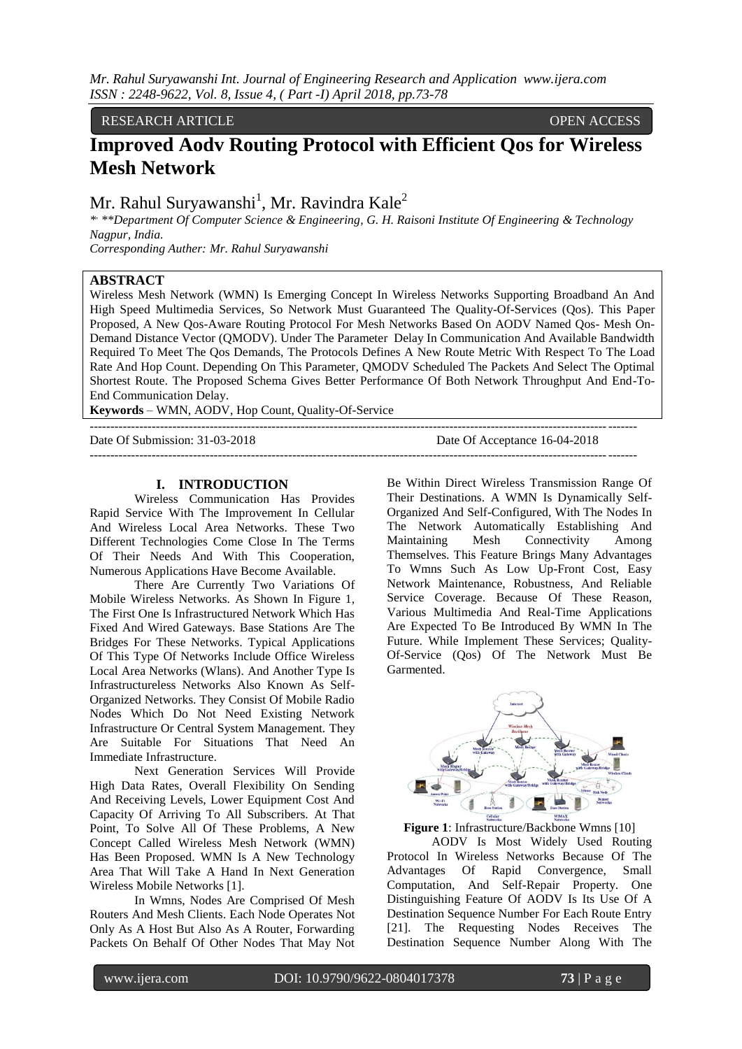*Mr. Rahul Suryawanshi Int. Journal of Engineering Research and Application www.ijera.com ISSN : 2248-9622, Vol. 8, Issue 4, ( Part -I) April 2018, pp.73-78*

RESEARCH ARTICLE OPEN ACCESS

# **Improved Aodv Routing Protocol with Efficient Qos for Wireless Mesh Network**

## Mr. Rahul Suryawanshi $^1$ , Mr. Ravindra Kale $^2$

*\* , \*\*Department Of Computer Science & Engineering, G. H. Raisoni Institute Of Engineering & Technology Nagpur, India.* 

*Corresponding Auther: Mr. Rahul Suryawanshi*

#### **ABSTRACT**

Wireless Mesh Network (WMN) Is Emerging Concept In Wireless Networks Supporting Broadband An And High Speed Multimedia Services, So Network Must Guaranteed The Quality-Of-Services (Qos). This Paper Proposed, A New Qos-Aware Routing Protocol For Mesh Networks Based On AODV Named Qos- Mesh On-Demand Distance Vector (QMODV). Under The Parameter Delay In Communication And Available Bandwidth Required To Meet The Qos Demands, The Protocols Defines A New Route Metric With Respect To The Load Rate And Hop Count. Depending On This Parameter, QMODV Scheduled The Packets And Select The Optimal Shortest Route. The Proposed Schema Gives Better Performance Of Both Network Throughput And End-To-End Communication Delay.

------------------------------------------------------------------------------------------------------------------------------------

------------------------------------------------------------------------------------------------------------------------------------

**Keywords** – WMN, AODV, Hop Count, Quality-Of-Service

Date Of Submission: 31-03-2018 Date Of Acceptance 16-04-2018

#### **I. INTRODUCTION**

Wireless Communication Has Provides Rapid Service With The Improvement In Cellular And Wireless Local Area Networks. These Two Different Technologies Come Close In The Terms Of Their Needs And With This Cooperation, Numerous Applications Have Become Available.

There Are Currently Two Variations Of Mobile Wireless Networks. As Shown In Figure 1, The First One Is Infrastructured Network Which Has Fixed And Wired Gateways. Base Stations Are The Bridges For These Networks. Typical Applications Of This Type Of Networks Include Office Wireless Local Area Networks (Wlans). And Another Type Is Infrastructureless Networks Also Known As Self-Organized Networks. They Consist Of Mobile Radio Nodes Which Do Not Need Existing Network Infrastructure Or Central System Management. They Are Suitable For Situations That Need An Immediate Infrastructure.

Next Generation Services Will Provide High Data Rates, Overall Flexibility On Sending And Receiving Levels, Lower Equipment Cost And Capacity Of Arriving To All Subscribers. At That Point, To Solve All Of These Problems, A New Concept Called Wireless Mesh Network (WMN) Has Been Proposed. WMN Is A New Technology Area That Will Take A Hand In Next Generation Wireless Mobile Networks [1].

In Wmns, Nodes Are Comprised Of Mesh Routers And Mesh Clients. Each Node Operates Not Only As A Host But Also As A Router, Forwarding Packets On Behalf Of Other Nodes That May Not

Be Within Direct Wireless Transmission Range Of Their Destinations. A WMN Is Dynamically Self-Organized And Self-Configured, With The Nodes In The Network Automatically Establishing And Maintaining Mesh Connectivity Among Themselves. This Feature Brings Many Advantages To Wmns Such As Low Up-Front Cost, Easy Network Maintenance, Robustness, And Reliable Service Coverage. Because Of These Reason, Various Multimedia And Real-Time Applications Are Expected To Be Introduced By WMN In The Future. While Implement These Services; Quality-Of-Service (Qos) Of The Network Must Be Garmented.



**Figure 1**: Infrastructure/Backbone Wmns [10]

AODV Is Most Widely Used Routing Protocol In Wireless Networks Because Of The Advantages Of Rapid Convergence, Small Computation, And Self-Repair Property. One Distinguishing Feature Of AODV Is Its Use Of A Destination Sequence Number For Each Route Entry [21]. The Requesting Nodes Receives The Destination Sequence Number Along With The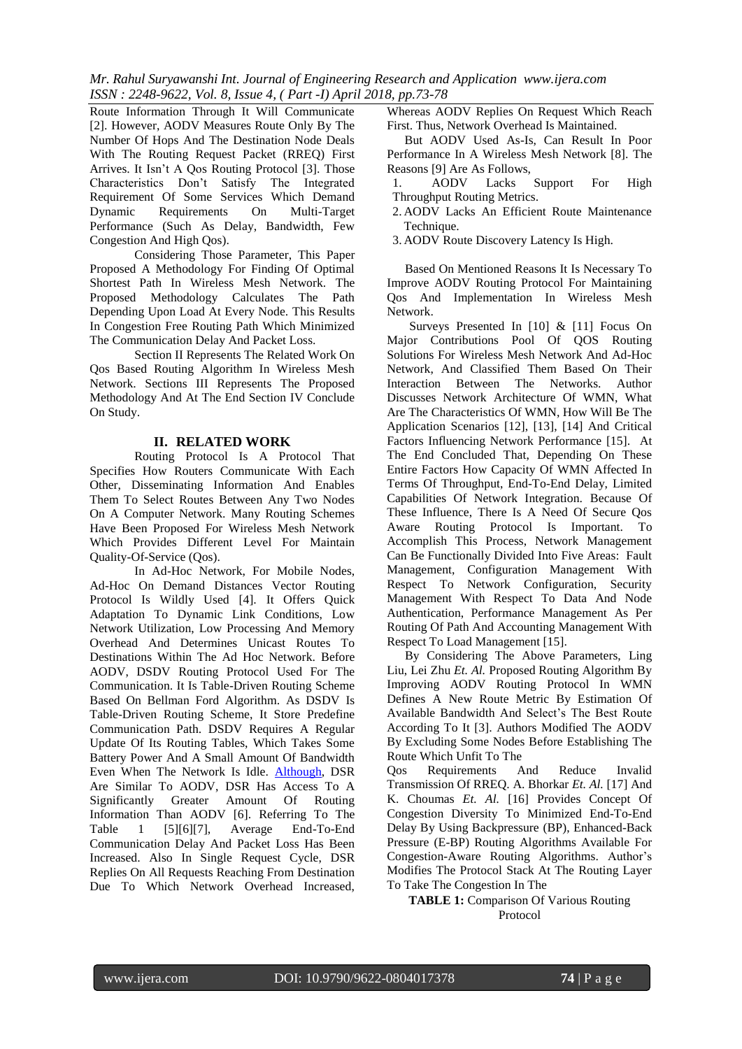*Mr. Rahul Suryawanshi Int. Journal of Engineering Research and Application www.ijera.com ISSN : 2248-9622, Vol. 8, Issue 4, ( Part -I) April 2018, pp.73-78*

Route Information Through It Will Communicate [2]. However, AODV Measures Route Only By The Number Of Hops And The Destination Node Deals With The Routing Request Packet (RREQ) First Arrives. It Isn't A Qos Routing Protocol [3]. Those Characteristics Don't Satisfy The Integrated Requirement Of Some Services Which Demand<br>Dynamic Requirements On Multi-Target Dynamic Requirements On Performance (Such As Delay, Bandwidth, Few Congestion And High Qos).

Considering Those Parameter, This Paper Proposed A Methodology For Finding Of Optimal Shortest Path In Wireless Mesh Network. The Proposed Methodology Calculates The Path Depending Upon Load At Every Node. This Results In Congestion Free Routing Path Which Minimized The Communication Delay And Packet Loss.

Section II Represents The Related Work On Qos Based Routing Algorithm In Wireless Mesh Network. Sections III Represents The Proposed Methodology And At The End Section IV Conclude On Study.

### **II. RELATED WORK**

Routing Protocol Is A Protocol That Specifies How Routers Communicate With Each Other, Disseminating Information And Enables Them To Select Routes Between Any Two Nodes On A Computer Network. Many Routing Schemes Have Been Proposed For Wireless Mesh Network Which Provides Different Level For Maintain Quality-Of-Service (Qos).

In Ad-Hoc Network, For Mobile Nodes, Ad-Hoc On Demand Distances Vector Routing Protocol Is Wildly Used [4]. It Offers Quick Adaptation To Dynamic Link Conditions, Low Network Utilization, Low Processing And Memory Overhead And Determines Unicast Routes To Destinations Within The Ad Hoc Network. Before AODV, DSDV Routing Protocol Used For The Communication. It Is Table-Driven Routing Scheme Based On Bellman Ford Algorithm. As DSDV Is Table-Driven Routing Scheme, It Store Predefine Communication Path. DSDV Requires A Regular Update Of Its Routing Tables, Which Takes Some Battery Power And A Small Amount Of Bandwidth Even When The Network Is Idle. [Although,](http://en.wiktionary.org/wiki/although) DSR Are Similar To AODV, DSR Has Access To A Significantly Greater Amount Of Routing Information Than AODV [6]. Referring To The Table 1 [5][6][7], Average End-To-End Communication Delay And Packet Loss Has Been Increased. Also In Single Request Cycle, DSR Replies On All Requests Reaching From Destination Due To Which Network Overhead Increased,

Whereas AODV Replies On Request Which Reach First. Thus, Network Overhead Is Maintained.

But AODV Used As-Is, Can Result In Poor Performance In A Wireless Mesh Network [8]. The Reasons [9] Are As Follows,<br>1. AODV Lacks

1. AODV Lacks Support For High Throughput Routing Metrics.

2. AODV Lacks An Efficient Route Maintenance Technique.

3. AODV Route Discovery Latency Is High.

Based On Mentioned Reasons It Is Necessary To Improve AODV Routing Protocol For Maintaining Qos And Implementation In Wireless Mesh Network.

Surveys Presented In [10] & [11] Focus On Major Contributions Pool Of QOS Routing Solutions For Wireless Mesh Network And Ad-Hoc Network, And Classified Them Based On Their Interaction Between The Networks. Author Discusses Network Architecture Of WMN, What Are The Characteristics Of WMN, How Will Be The Application Scenarios [12], [13], [14] And Critical Factors Influencing Network Performance [15]. At The End Concluded That, Depending On These Entire Factors How Capacity Of WMN Affected In Terms Of Throughput, End-To-End Delay, Limited Capabilities Of Network Integration. Because Of These Influence, There Is A Need Of Secure Qos Aware Routing Protocol Is Important. To Accomplish This Process, Network Management Can Be Functionally Divided Into Five Areas: Fault Management, Configuration Management With Respect To Network Configuration, Security Management With Respect To Data And Node Authentication, Performance Management As Per Routing Of Path And Accounting Management With Respect To Load Management [15].

By Considering The Above Parameters, Ling Liu, Lei Zhu *Et. Al.* Proposed Routing Algorithm By Improving AODV Routing Protocol In WMN Defines A New Route Metric By Estimation Of Available Bandwidth And Select's The Best Route According To It [3]. Authors Modified The AODV By Excluding Some Nodes Before Establishing The Route Which Unfit To The

Qos Requirements And Reduce Invalid Transmission Of RREQ. A. Bhorkar *Et. Al.* [17] And K. Choumas *Et. Al.* [16] Provides Concept Of Congestion Diversity To Minimized End-To-End Delay By Using Backpressure (BP), Enhanced-Back Pressure (E-BP) Routing Algorithms Available For Congestion-Aware Routing Algorithms. Author's Modifies The Protocol Stack At The Routing Layer To Take The Congestion In The

**TABLE 1:** Comparison Of Various Routing Protocol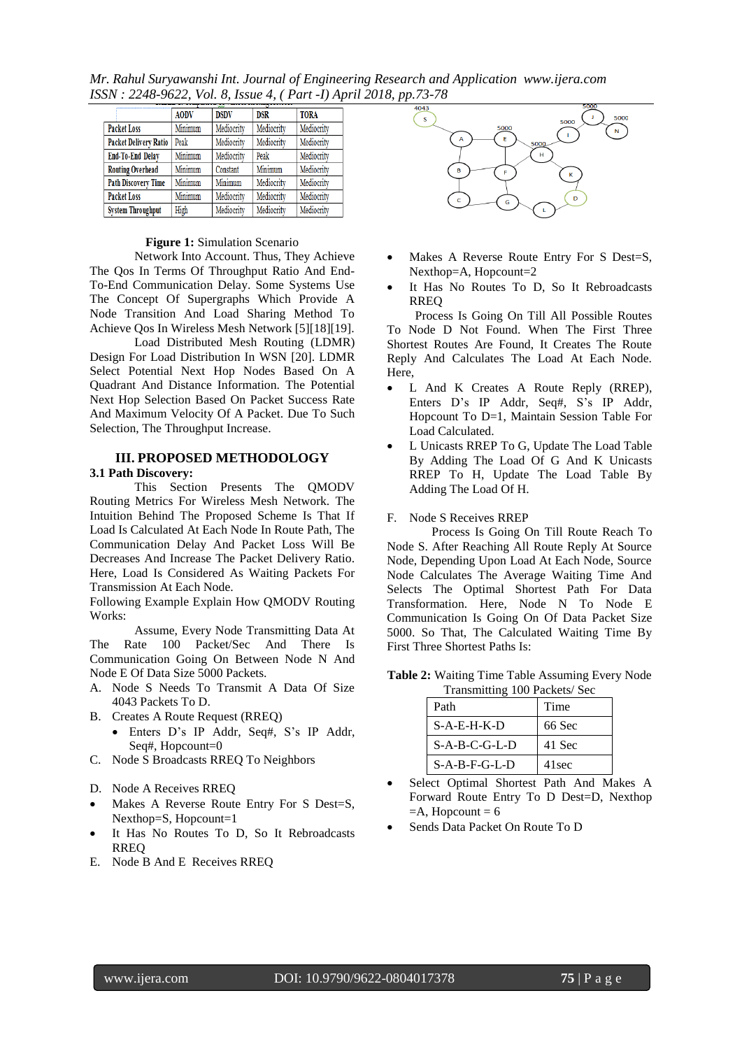*Mr. Rahul Suryawanshi Int. Journal of Engineering Research and Application www.ijera.com ISSN : 2248-9622, Vol. 8, Issue 4, ( Part -I) April 2018, pp.73-78*

|                              | <b>AODV</b> | <b>DSDV</b> | <b>DSR</b> | <b>TORA</b> |
|------------------------------|-------------|-------------|------------|-------------|
| <b>Packet Loss</b>           | Minimum     | Mediocrity  | Mediocrity | Mediocrity  |
| <b>Packet Delivery Ratio</b> | Peak        | Mediocrity  | Mediocrity | Mediocrity  |
| End-To-End Delay             | Minimum     | Mediocrity  | Peak       | Mediocrity  |
| <b>Routing Overhead</b>      | Minimum     | Constant    | Minimum    | Mediocrity  |
| <b>Path Discovery Time</b>   | Minimum     | Minimum     | Mediocrity | Mediocrity  |
| <b>Packet Loss</b>           | Minimum     | Mediocrity  | Mediocrity | Mediocrity  |
| <b>System Throughput</b>     | High        | Mediocrity  | Mediocrity | Mediocrity  |

### **Figure 1:** Simulation Scenario

Network Into Account. Thus, They Achieve The Qos In Terms Of Throughput Ratio And End-To-End Communication Delay. Some Systems Use The Concept Of Supergraphs Which Provide A Node Transition And Load Sharing Method To Achieve Qos In Wireless Mesh Network [5][18][19].

Load Distributed Mesh Routing (LDMR) Design For Load Distribution In WSN [20]. LDMR Select Potential Next Hop Nodes Based On A Quadrant And Distance Information. The Potential Next Hop Selection Based On Packet Success Rate And Maximum Velocity Of A Packet. Due To Such Selection, The Throughput Increase.

# **III. PROPOSED METHODOLOGY**

### **3.1 Path Discovery:**

This Section Presents The QMODV Routing Metrics For Wireless Mesh Network. The Intuition Behind The Proposed Scheme Is That If Load Is Calculated At Each Node In Route Path, The Communication Delay And Packet Loss Will Be Decreases And Increase The Packet Delivery Ratio. Here, Load Is Considered As Waiting Packets For Transmission At Each Node.

Following Example Explain How QMODV Routing Works:

Assume, Every Node Transmitting Data At The Rate 100 Packet/Sec And There Is Communication Going On Between Node N And Node E Of Data Size 5000 Packets.

- A. Node S Needs To Transmit A Data Of Size 4043 Packets To D.
- B. Creates A Route Request (RREQ)
	- Enters D's IP Addr, Seq#, S's IP Addr, Seq#, Hopcount=0
- C. Node S Broadcasts RREQ To Neighbors
- D. Node A Receives RREQ
- Makes A Reverse Route Entry For S Dest=S, Nexthop=S, Hopcount=1
- It Has No Routes To D, So It Rebroadcasts RREQ
- E. Node B And E Receives RREQ



- Makes A Reverse Route Entry For S Dest=S, Nexthop=A, Hopcount=2
- It Has No Routes To D, So It Rebroadcasts RREQ

Process Is Going On Till All Possible Routes To Node D Not Found. When The First Three Shortest Routes Are Found, It Creates The Route Reply And Calculates The Load At Each Node. Here,

- L And K Creates A Route Reply (RREP), Enters D's IP Addr, Seq#, S's IP Addr, Hopcount To D=1, Maintain Session Table For Load Calculated.
- L Unicasts RREP To G, Update The Load Table By Adding The Load Of G And K Unicasts RREP To H, Update The Load Table By Adding The Load Of H.
- F. Node S Receives RREP

Process Is Going On Till Route Reach To Node S. After Reaching All Route Reply At Source Node, Depending Upon Load At Each Node, Source Node Calculates The Average Waiting Time And Selects The Optimal Shortest Path For Data Transformation. Here, Node N To Node E Communication Is Going On Of Data Packet Size 5000. So That, The Calculated Waiting Time By First Three Shortest Paths Is:

**Table 2:** Waiting Time Table Assuming Every Node Transmitting 100 Packets/ Sec

| Path            | Time              |
|-----------------|-------------------|
| $S-A-E-H-K-D$   | 66 Sec            |
| $S-A-B-C-G-L-D$ | 41 Sec            |
| $S-A-B-F-G-L-D$ | 41 <sub>sec</sub> |

- Select Optimal Shortest Path And Makes A Forward Route Entry To D Dest=D, Nexthop  $=A$ , Hopcount = 6
- Sends Data Packet On Route To D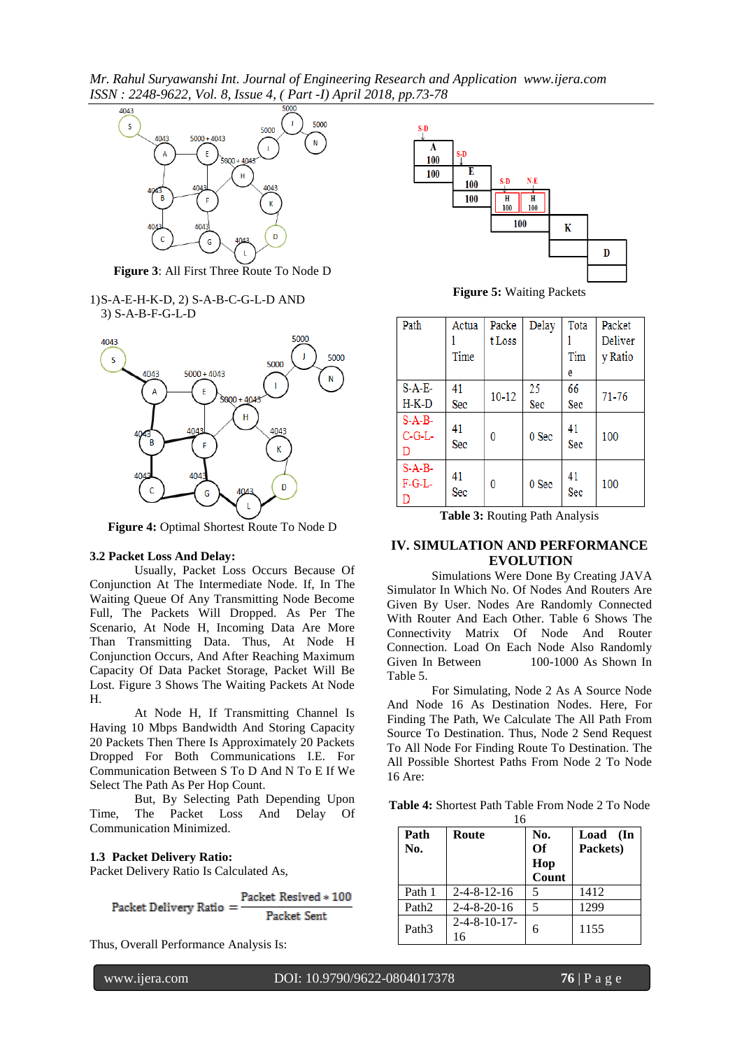*Mr. Rahul Suryawanshi Int. Journal of Engineering Research and Application www.ijera.com ISSN : 2248-9622, Vol. 8, Issue 4, ( Part -I) April 2018, pp.73-78*



**Figure 3**: All First Three Route To Node D

1)S-A-E-H-K-D, 2) S-A-B-C-G-L-D AND 3) S-A-B-F-G-L-D



**Figure 4:** Optimal Shortest Route To Node D

### **3.2 Packet Loss And Delay:**

Usually, Packet Loss Occurs Because Of Conjunction At The Intermediate Node. If, In The Waiting Queue Of Any Transmitting Node Become Full, The Packets Will Dropped. As Per The Scenario, At Node H, Incoming Data Are More Than Transmitting Data. Thus, At Node H Conjunction Occurs, And After Reaching Maximum Capacity Of Data Packet Storage, Packet Will Be Lost. Figure 3 Shows The Waiting Packets At Node H.

At Node H, If Transmitting Channel Is Having 10 Mbps Bandwidth And Storing Capacity 20 Packets Then There Is Approximately 20 Packets Dropped For Both Communications I.E. For Communication Between S To D And N To E If We Select The Path As Per Hop Count.

But, By Selecting Path Depending Upon Time, The Packet Loss And Delay Of Communication Minimized.

#### **1.3 Packet Delivery Ratio:**

Packet Delivery Ratio Is Calculated As,

Packet Resived \* 100 Packet Delivery Ratio = Packet Sent

Thus, Overall Performance Analysis Is:



**Figure 5:** Waiting Packets

| Path                     | Actua     | Packe     | Delay | Tota      | Packet         |
|--------------------------|-----------|-----------|-------|-----------|----------------|
|                          |           | t Loss    |       |           | <b>Deliver</b> |
|                          | Time      |           |       | Tim       | y Ratio        |
|                          |           |           |       | e         |                |
| $S-A-E-$                 | 41        | $10 - 12$ | 25    | 66        |                |
| $H-K-D$                  | Sec       |           | Sec   | Sec       | $71 - 76$      |
| $S-A-B-$<br>$C-G-L$<br>D | 41<br>Sec | 0         | 0 Sec | 41<br>Sec | 100            |
| $S-A-B-$<br>$F-G-L$<br>D | 41<br>Sec | 0         | 0 Sec | 41<br>Sec | 100            |

**Table 3:** Routing Path Analysis

#### **IV. SIMULATION AND PERFORMANCE EVOLUTION**

Simulations Were Done By Creating JAVA Simulator In Which No. Of Nodes And Routers Are Given By User. Nodes Are Randomly Connected With Router And Each Other. Table 6 Shows The Connectivity Matrix Of Node And Router Connection. Load On Each Node Also Randomly Given In Between 100-1000 As Shown In Table 5.

For Simulating, Node 2 As A Source Node And Node 16 As Destination Nodes. Here, For Finding The Path, We Calculate The All Path From Source To Destination. Thus, Node 2 Send Request To All Node For Finding Route To Destination. The All Possible Shortest Paths From Node 2 To Node 16 Are:

**Table 4:** Shortest Path Table From Node 2 To Node

| 16                |                       |       |          |
|-------------------|-----------------------|-------|----------|
| Path              | Route                 | No.   | Load (In |
| No.               |                       | Of    | Packets) |
|                   |                       | Hop   |          |
|                   |                       | Count |          |
| Path 1            | $2 - 4 - 8 - 12 - 16$ | 5     | 1412     |
| Path <sub>2</sub> | $2 - 4 - 8 - 20 - 16$ | 5     | 1299     |
| Path <sub>3</sub> | $2 - 4 - 8 - 10 - 17$ | 6     | 1155     |
|                   | 16                    |       |          |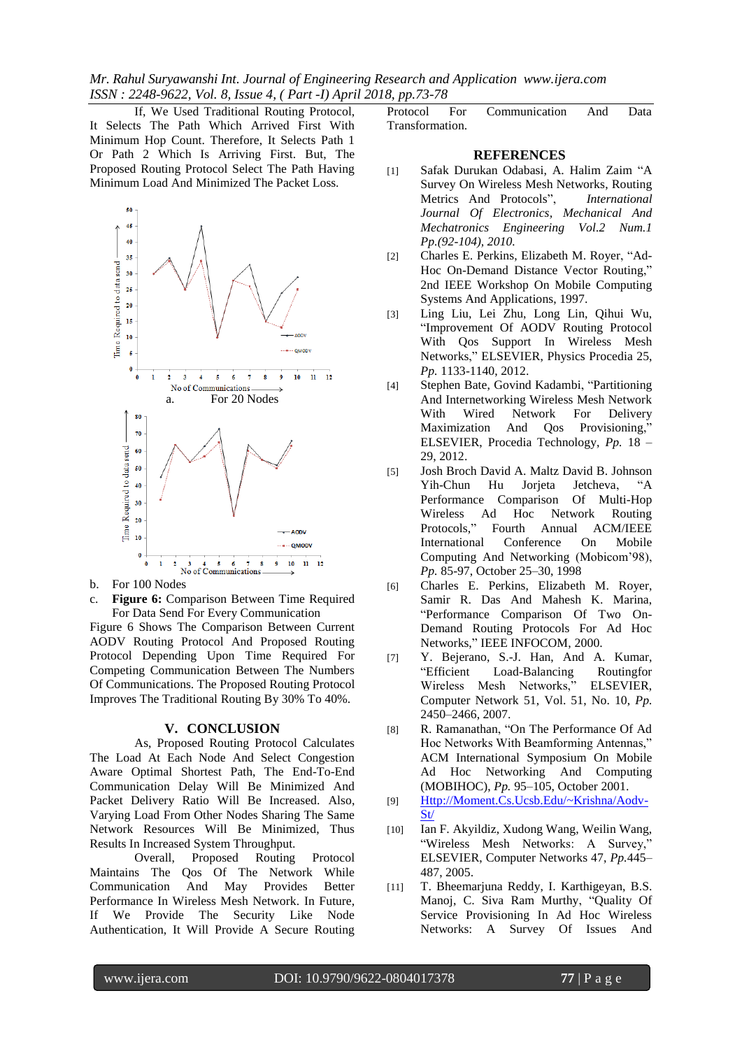*Mr. Rahul Suryawanshi Int. Journal of Engineering Research and Application www.ijera.com ISSN : 2248-9622, Vol. 8, Issue 4, ( Part -I) April 2018, pp.73-78*

If, We Used Traditional Routing Protocol, It Selects The Path Which Arrived First With Minimum Hop Count. Therefore, It Selects Path 1 Or Path 2 Which Is Arriving First. But, The Proposed Routing Protocol Select The Path Having Minimum Load And Minimized The Packet Loss.



- b. For 100 Nodes
- c. **Figure 6:** Comparison Between Time Required For Data Send For Every Communication

Figure 6 Shows The Comparison Between Current AODV Routing Protocol And Proposed Routing Protocol Depending Upon Time Required For Competing Communication Between The Numbers Of Communications. The Proposed Routing Protocol Improves The Traditional Routing By 30% To 40%.

#### **V. CONCLUSION**

As, Proposed Routing Protocol Calculates The Load At Each Node And Select Congestion Aware Optimal Shortest Path, The End-To-End Communication Delay Will Be Minimized And Packet Delivery Ratio Will Be Increased. Also, Varying Load From Other Nodes Sharing The Same Network Resources Will Be Minimized, Thus Results In Increased System Throughput.

Overall, Proposed Routing Protocol Maintains The Qos Of The Network While Communication And May Provides Better Performance In Wireless Mesh Network. In Future, If We Provide The Security Like Node Authentication, It Will Provide A Secure Routing

Protocol For Communication And Data Transformation.

### **REFERENCES**

- [1] Safak Durukan Odabasi, A. Halim Zaim "A Survey On Wireless Mesh Networks, Routing Metrics And Protocols", *International Journal Of Electronics, Mechanical And Mechatronics Engineering Vol.2 Num.1 Pp.(92-104), 2010.*
- [2] Charles E. Perkins, Elizabeth M. Royer, "Ad-Hoc On-Demand Distance Vector Routing," 2nd IEEE Workshop On Mobile Computing Systems And Applications, 1997.
- [3] Ling Liu, Lei Zhu, Long Lin, Qihui Wu, "Improvement Of AODV Routing Protocol With Qos Support In Wireless Mesh Networks," ELSEVIER, Physics Procedia 25, *Pp.* 1133-1140, 2012.
- [4] Stephen Bate, Govind Kadambi, "Partitioning And Internetworking Wireless Mesh Network With Wired Network For Delivery Maximization And Qos Provisioning," ELSEVIER, Procedia Technology, *Pp.* 18 – 29, 2012.
- [5] Josh Broch David A. Maltz David B. Johnson Yih-Chun Hu Jorjeta Jetcheva, "A Performance Comparison Of Multi-Hop Wireless Ad Hoc Network Routing Protocols," Fourth Annual ACM/IEEE International Conference On Mobile Computing And Networking (Mobicom'98), *Pp.* 85-97, October 25–30, 1998
- [6] Charles E. Perkins, Elizabeth M. Royer, Samir R. Das And Mahesh K. Marina, "Performance Comparison Of Two On-Demand Routing Protocols For Ad Hoc Networks," IEEE INFOCOM, 2000.
- [7] Y. Bejerano, S.-J. Han, And A. Kumar, "Efficient Load-Balancing Routingfor Wireless Mesh Networks," ELSEVIER, Computer Network 51, Vol. 51, No. 10, *Pp.* 2450–2466, 2007.
- [8] R. Ramanathan, "On The Performance Of Ad Hoc Networks With Beamforming Antennas," ACM International Symposium On Mobile Ad Hoc Networking And Computing (MOBIHOC), *Pp.* 95–105, October 2001.
- [9] [Http://Moment.Cs.Ucsb.Edu/~Krishna/Aodv-](http://moment.cs.ucsb.edu/~krishna/aodv-st/)[St/](http://moment.cs.ucsb.edu/~krishna/aodv-st/)
- [10] Ian F. Akyildiz, Xudong Wang, Weilin Wang, "Wireless Mesh Networks: A Survey," ELSEVIER, Computer Networks 47, *Pp.*445– 487, 2005.
- [11] T. Bheemarjuna Reddy, I. Karthigeyan, B.S. Manoj, C. Siva Ram Murthy, "Quality Of Service Provisioning In Ad Hoc Wireless Networks: A Survey Of Issues And